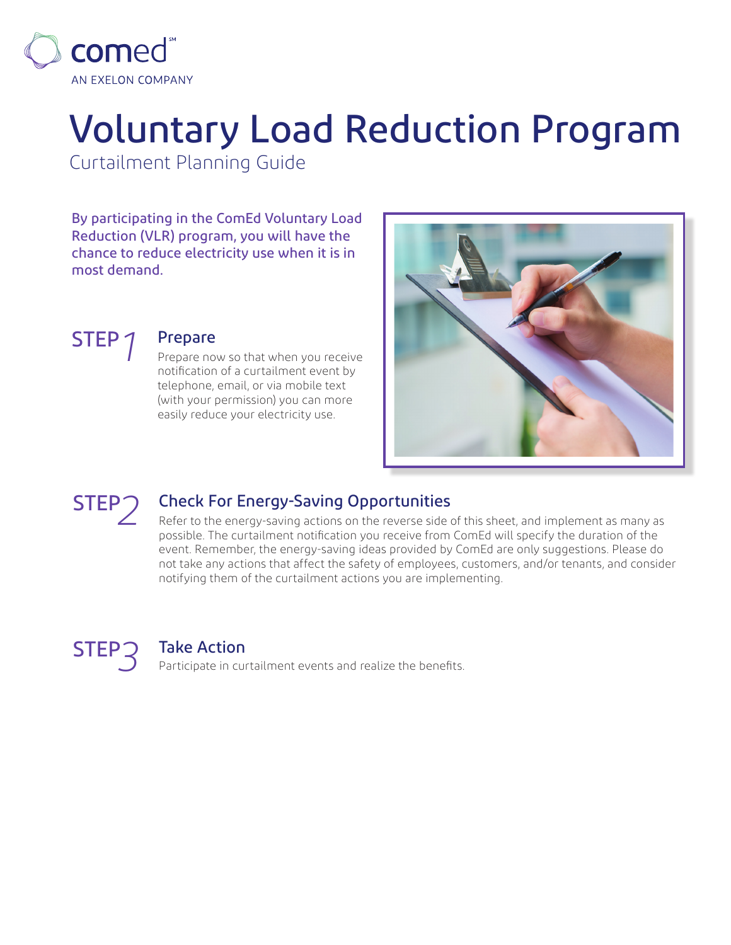

# Voluntary Load Reduction Program

Curtailment Planning Guide

By participating in the ComEd Voluntary Load Reduction (VLR) program, you will have the chance to reduce electricity use when it is in most demand.





## STEP *1* Prepare

Prepare now so that when you receive notification of a curtailment event by telephone, email, or via mobile text (with your permission) you can more easily reduce your electricity use.



# STEP<sup>2</sup> Check For Energy-Saving Opportunities

Refer to the energy-saving actions on the reverse side of this sheet, and implement as many as possible. The curtailment notification you receive from ComEd will specify the duration of the event. Remember, the energy-saving ideas provided by ComEd are only suggestions. Please do not take any actions that affect the safety of employees, customers, and/or tenants, and consider notifying them of the curtailment actions you are implementing.



## STEP*3* Take Action

Participate in curtailment events and realize the benefits.